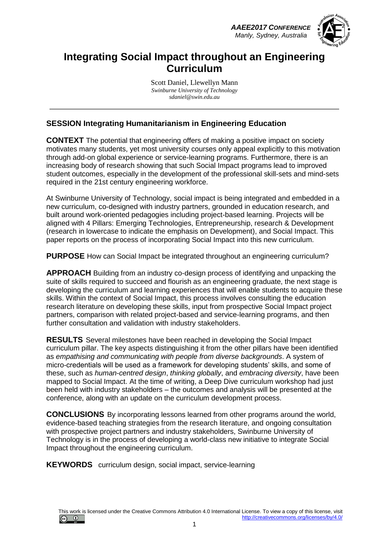*AAEE2017 CONFERENCE Manly, Sydney, Australia*



### **Integrating Social Impact throughout an Engineering Curriculum**

Scott Daniel, Llewellyn Mann *Swinburne University of Technology sdaniel@swin.edu.au*

### **SESSION Integrating Humanitarianism in Engineering Education**

**CONTEXT** The potential that engineering offers of making a positive impact on society motivates many students, yet most university courses only appeal explicitly to this motivation through add-on global experience or service-learning programs. Furthermore, there is an increasing body of research showing that such Social Impact programs lead to improved student outcomes, especially in the development of the professional skill-sets and mind-sets required in the 21st century engineering workforce.

At Swinburne University of Technology, social impact is being integrated and embedded in a new curriculum, co-designed with industry partners, grounded in education research, and built around work-oriented pedagogies including project-based learning. Projects will be aligned with 4 Pillars: Emerging Technologies, Entrepreneurship, research & Development (research in lowercase to indicate the emphasis on Development), and Social Impact. This paper reports on the process of incorporating Social Impact into this new curriculum.

**PURPOSE** How can Social Impact be integrated throughout an engineering curriculum?

**APPROACH** Building from an industry co-design process of identifying and unpacking the suite of skills required to succeed and flourish as an engineering graduate, the next stage is developing the curriculum and learning experiences that will enable students to acquire these skills. Within the context of Social Impact, this process involves consulting the education research literature on developing these skills, input from prospective Social Impact project partners, comparison with related project-based and service-learning programs, and then further consultation and validation with industry stakeholders.

**RESULTS** Several milestones have been reached in developing the Social Impact curriculum pillar. The key aspects distinguishing it from the other pillars have been identified as *empathising and communicating with people from diverse backgrounds*. A system of micro-credentials will be used as a framework for developing students' skills, and some of these, such as *human-centred design*, *thinking globally*, and *embracing diversity*, have been mapped to Social Impact. At the time of writing, a Deep Dive curriculum workshop had just been held with industry stakeholders – the outcomes and analysis will be presented at the conference, along with an update on the curriculum development process.

**CONCLUSIONS** By incorporating lessons learned from other programs around the world, evidence-based teaching strategies from the research literature, and ongoing consultation with prospective project partners and industry stakeholders, Swinburne University of Technology is in the process of developing a world-class new initiative to integrate Social Impact throughout the engineering curriculum.

**KEYWORDS** curriculum design, social impact, service-learning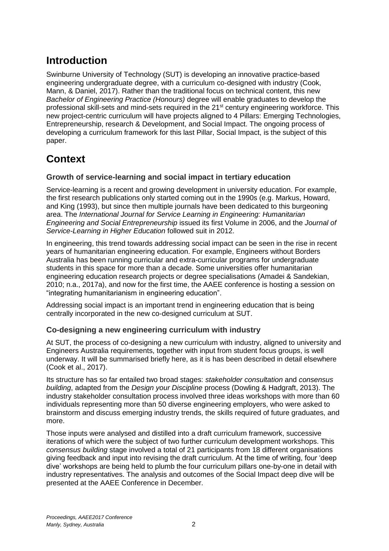# **Introduction**

Swinburne University of Technology (SUT) is developing an innovative practice-based engineering undergraduate degree, with a curriculum co-designed with industry (Cook, Mann, & Daniel, 2017). Rather than the traditional focus on technical content, this new *Bachelor of Engineering Practice (Honours)* degree will enable graduates to develop the professional skill-sets and mind-sets required in the 21<sup>st</sup> century engineering workforce. This new project-centric curriculum will have projects aligned to 4 Pillars: Emerging Technologies, Entrepreneurship, research & Development, and Social Impact. The ongoing process of developing a curriculum framework for this last Pillar, Social Impact, is the subject of this paper.

# **Context**

### **Growth of service-learning and social impact in tertiary education**

Service-learning is a recent and growing development in university education. For example, the first research publications only started coming out in the 1990s (e.g. Markus, Howard, and King (1993), but since then multiple journals have been dedicated to this burgeoning area. The *International Journal for Service Learning in Engineering: Humanitarian Engineering and Social Entrepreneurship* issued its first Volume in 2006, and the *Journal of Service-Learning in Higher Education* followed suit in 2012.

In engineering, this trend towards addressing social impact can be seen in the rise in recent years of humanitarian engineering education. For example, Engineers without Borders Australia has been running curricular and extra-curricular programs for undergraduate students in this space for more than a decade. Some universities offer humanitarian engineering education research projects or degree specialisations (Amadei & Sandekian, 2010; n.a., 2017a), and now for the first time, the AAEE conference is hosting a session on "integrating humanitarianism in engineering education".

Addressing social impact is an important trend in engineering education that is being centrally incorporated in the new co-designed curriculum at SUT.

### **Co-designing a new engineering curriculum with industry**

At SUT, the process of co-designing a new curriculum with industry, aligned to university and Engineers Australia requirements, together with input from student focus groups, is well underway. It will be summarised briefly here, as it is has been described in detail elsewhere (Cook et al., 2017).

Its structure has so far entailed two broad stages: *stakeholder consultation* and *consensus building*, adapted from the *Design your Discipline* process (Dowling & Hadgraft, 2013). The industry stakeholder consultation process involved three ideas workshops with more than 60 individuals representing more than 50 diverse engineering employers, who were asked to brainstorm and discuss emerging industry trends, the skills required of future graduates, and more.

Those inputs were analysed and distilled into a draft curriculum framework, successive iterations of which were the subject of two further curriculum development workshops. This *consensus building* stage involved a total of 21 participants from 18 different organisations giving feedback and input into revising the draft curriculum. At the time of writing, four 'deep dive' workshops are being held to plumb the four curriculum pillars one-by-one in detail with industry representatives. The analysis and outcomes of the Social Impact deep dive will be presented at the AAEE Conference in December.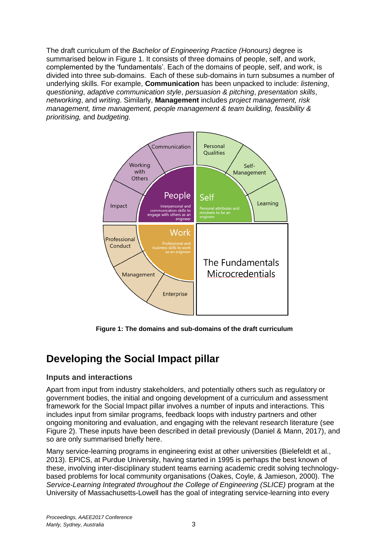The draft curriculum of the *Bachelor of Engineering Practice (Honours)* degree is summarised below in [Figure 1.](#page-2-0) It consists of three domains of people, self, and work, complemented by the 'fundamentals'. Each of the domains of people, self, and work, is divided into three sub-domains. Each of these sub-domains in turn subsumes a number of underlying skills. For example, **Communication** has been unpacked to include: *listening*, *questioning*, *adaptive communication style*, *persuasion & pitching*, *presentation skills*, *networking*, and *writing*. Similarly, **Management** includes *project management, risk management, time management, people management & team building, feasibility & prioritising,* and *budgeting.*



**Figure 1: The domains and sub-domains of the draft curriculum**

# <span id="page-2-0"></span>**Developing the Social Impact pillar**

#### **Inputs and interactions**

Apart from input from industry stakeholders, and potentially others such as regulatory or government bodies, the initial and ongoing development of a curriculum and assessment framework for the Social Impact pillar involves a number of inputs and interactions. This includes input from similar programs, feedback loops with industry partners and other ongoing monitoring and evaluation, and engaging with the relevant research literature (see [Figure 2\)](#page-3-0). These inputs have been described in detail previously (Daniel & Mann, 2017), and so are only summarised briefly here.

Many service-learning programs in engineering exist at other universities (Bielefeldt et al., 2013). EPICS, at Purdue University, having started in 1995 is perhaps the best known of these, involving inter-disciplinary student teams earning academic credit solving technologybased problems for local community organisations (Oakes, Coyle, & Jamieson, 2000). The *Service-Learning Integrated throughout the College of Engineering (SLICE)* program at the University of Massachusetts-Lowell has the goal of integrating service-learning into every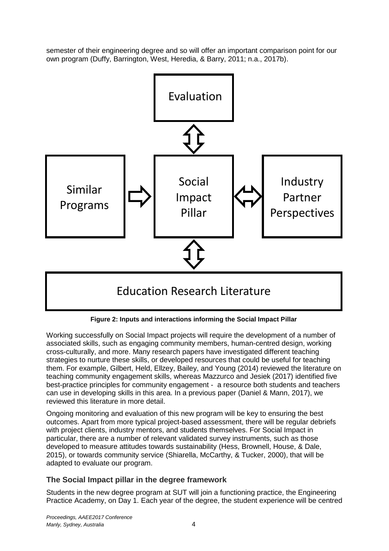semester of their engineering degree and so will offer an important comparison point for our own program (Duffy, Barrington, West, Heredia, & Barry, 2011; n.a., 2017b).



**Figure 2: Inputs and interactions informing the Social Impact Pillar**

<span id="page-3-0"></span>Working successfully on Social Impact projects will require the development of a number of associated skills, such as engaging community members, human-centred design, working cross-culturally, and more. Many research papers have investigated different teaching strategies to nurture these skills, or developed resources that could be useful for teaching them. For example, Gilbert, Held, Ellzey, Bailey, and Young (2014) reviewed the literature on teaching community engagement skills, whereas Mazzurco and Jesiek (2017) identified five best-practice principles for community engagement - a resource both students and teachers can use in developing skills in this area. In a previous paper (Daniel & Mann, 2017), we reviewed this literature in more detail.

Ongoing monitoring and evaluation of this new program will be key to ensuring the best outcomes. Apart from more typical project-based assessment, there will be regular debriefs with project clients, industry mentors, and students themselves. For Social Impact in particular, there are a number of relevant validated survey instruments, such as those developed to measure attitudes towards sustainability (Hess, Brownell, House, & Dale, 2015), or towards community service (Shiarella, McCarthy, & Tucker, 2000), that will be adapted to evaluate our program.

### **The Social Impact pillar in the degree framework**

Students in the new degree program at SUT will join a functioning practice, the Engineering Practice Academy, on Day 1. Each year of the degree, the student experience will be centred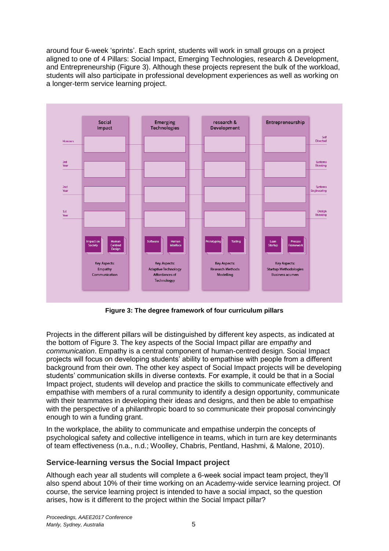around four 6-week 'sprints'. Each sprint, students will work in small groups on a project aligned to one of 4 Pillars: Social Impact, Emerging Technologies, research & Development, and Entrepreneurship [\(Figure 3\)](#page-4-0). Although these projects represent the bulk of the workload, students will also participate in professional development experiences as well as working on a longer-term service learning project.



**Figure 3: The degree framework of four curriculum pillars**

<span id="page-4-0"></span>Projects in the different pillars will be distinguished by different key aspects, as indicated at the bottom of [Figure 3.](#page-4-0) The key aspects of the Social Impact pillar are *empathy* and *communication*. Empathy is a central component of human-centred design. Social Impact projects will focus on developing students' ability to empathise with people from a different background from their own. The other key aspect of Social Impact projects will be developing students' communication skills in diverse contexts. For example, it could be that in a Social Impact project, students will develop and practice the skills to communicate effectively and empathise with members of a rural community to identify a design opportunity, communicate with their teammates in developing their ideas and designs, and then be able to empathise with the perspective of a philanthropic board to so communicate their proposal convincingly enough to win a funding grant.

In the workplace, the ability to communicate and empathise underpin the concepts of psychological safety and collective intelligence in teams, which in turn are key determinants of team effectiveness (n.a., n.d.; Woolley, Chabris, Pentland, Hashmi, & Malone, 2010).

#### **Service-learning versus the Social Impact project**

Although each year all students will complete a 6-week social impact team project, they'll also spend about 10% of their time working on an Academy-wide service learning project. Of course, the service learning project is intended to have a social impact, so the question arises, how is it different to the project within the Social Impact pillar?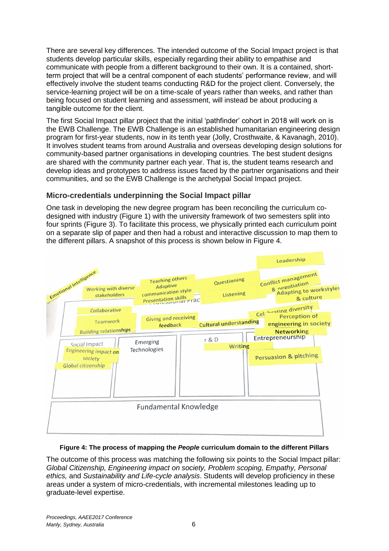There are several key differences. The intended outcome of the Social Impact project is that students develop particular skills, especially regarding their ability to empathise and communicate with people from a different background to their own. It is a contained, shortterm project that will be a central component of each students' performance review, and will effectively involve the student teams conducting R&D for the project client. Conversely, the service-learning project will be on a time-scale of years rather than weeks, and rather than being focused on student learning and assessment, will instead be about producing a tangible outcome for the client.

The first Social Impact pillar project that the initial 'pathfinder' cohort in 2018 will work on is the EWB Challenge. The EWB Challenge is an established humanitarian engineering design program for first-year students, now in its tenth year (Jolly, Crosthwaite, & Kavanagh, 2010). It involves student teams from around Australia and overseas developing design solutions for community-based partner organisations in developing countries. The best student designs are shared with the community partner each year. That is, the student teams research and develop ideas and prototypes to address issues faced by the partner organisations and their communities, and so the EWB Challenge is the archetypal Social Impact project.

#### **Micro-credentials underpinning the Social Impact pillar**

One task in developing the new degree program has been reconciling the curriculum codesigned with industry (Figure 1) with the university framework of two semesters split into four sprints [\(Figure 3\)](#page-4-0). To facilitate this process, we physically printed each curriculum point on a separate slip of paper and then had a robust and interactive discussion to map them to the different pillars. A snapshot of this process is shown below in Figure 4.



#### **Figure 4: The process of mapping the** *People* **curriculum domain to the different Pillars**

The outcome of this process was matching the following six points to the Social Impact pillar: *Global Citizenship, Engineering impact on society, Problem scoping, Empathy, Personal ethics,* and *Sustainability and Life-cycle analysis*. Students will develop proficiency in these areas under a system of micro-credentials, with incremental milestones leading up to graduate-level expertise.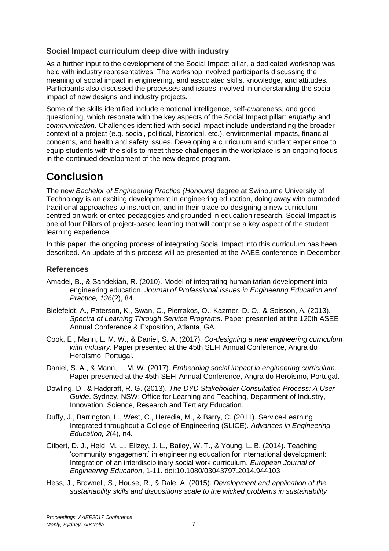#### **Social Impact curriculum deep dive with industry**

As a further input to the development of the Social Impact pillar, a dedicated workshop was held with industry representatives. The workshop involved participants discussing the meaning of social impact in engineering, and associated skills, knowledge, and attitudes. Participants also discussed the processes and issues involved in understanding the social impact of new designs and industry projects.

Some of the skills identified include emotional intelligence, self-awareness, and good questioning, which resonate with the key aspects of the Social Impact pillar: *empathy* and *communication*. Challenges identified with social impact include understanding the broader context of a project (e.g. social, political, historical, etc.), environmental impacts, financial concerns, and health and safety issues. Developing a curriculum and student experience to equip students with the skills to meet these challenges in the workplace is an ongoing focus in the continued development of the new degree program.

# **Conclusion**

The new *Bachelor of Engineering Practice (Honours)* degree at Swinburne University of Technology is an exciting development in engineering education, doing away with outmoded traditional approaches to instruction, and in their place co-designing a new curriculum centred on work-oriented pedagogies and grounded in education research. Social Impact is one of four Pillars of project-based learning that will comprise a key aspect of the student learning experience.

In this paper, the ongoing process of integrating Social Impact into this curriculum has been described. An update of this process will be presented at the AAEE conference in December.

### **References**

- Amadei, B., & Sandekian, R. (2010). Model of integrating humanitarian development into engineering education. *Journal of Professional Issues in Engineering Education and Practice, 136*(2), 84.
- Bielefeldt, A., Paterson, K., Swan, C., Pierrakos, O., Kazmer, D. O., & Soisson, A. (2013). *Spectra of Learning Through Service Programs*. Paper presented at the 120th ASEE Annual Conference & Exposition, Atlanta, GA.
- Cook, E., Mann, L. M. W., & Daniel, S. A. (2017). *Co-designing a new engineering curriculum with industry*. Paper presented at the 45th SEFI Annual Conference, Angra do Heroísmo, Portugal.
- Daniel, S. A., & Mann, L. M. W. (2017). *Embedding social impact in engineering curriculum*. Paper presented at the 45th SEFI Annual Conference, Angra do Heroísmo, Portugal.
- Dowling, D., & Hadgraft, R. G. (2013). *The DYD Stakeholder Consultation Process: A User Guide*. Sydney, NSW: Office for Learning and Teaching, Department of Industry, Innovation, Science, Research and Tertiary Education.
- Duffy, J., Barrington, L., West, C., Heredia, M., & Barry, C. (2011). Service-Learning Integrated throughout a College of Engineering (SLICE). *Advances in Engineering Education, 2*(4), n4.
- Gilbert, D. J., Held, M. L., Ellzey, J. L., Bailey, W. T., & Young, L. B. (2014). Teaching 'community engagement' in engineering education for international development: Integration of an interdisciplinary social work curriculum. *European Journal of Engineering Education*, 1-11. doi:10.1080/03043797.2014.944103
- Hess, J., Brownell, S., House, R., & Dale, A. (2015). *Development and application of the sustainability skills and dispositions scale to the wicked problems in sustainability*